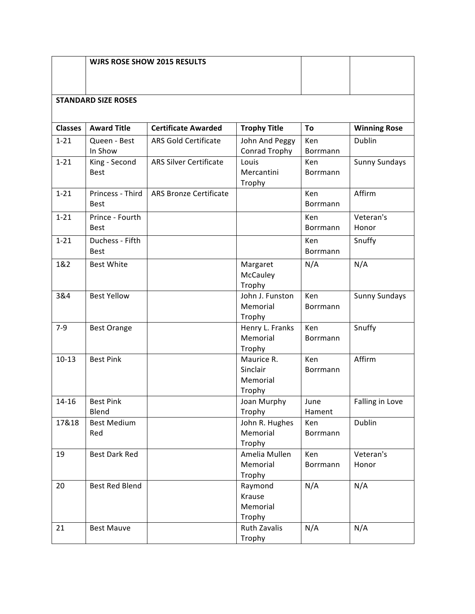|                            |                                 | <b>WJRS ROSE SHOW 2015 RESULTS</b> |                                              |                        |                      |  |  |  |
|----------------------------|---------------------------------|------------------------------------|----------------------------------------------|------------------------|----------------------|--|--|--|
| <b>STANDARD SIZE ROSES</b> |                                 |                                    |                                              |                        |                      |  |  |  |
| <b>Classes</b>             | <b>Award Title</b>              | <b>Certificate Awarded</b>         | <b>Trophy Title</b>                          | To                     | <b>Winning Rose</b>  |  |  |  |
| $1 - 21$                   | Queen - Best<br>In Show         | <b>ARS Gold Certificate</b>        | John And Peggy<br>Conrad Trophy              | Ken<br>Borrmann        | Dublin               |  |  |  |
| $1 - 21$                   | King - Second<br><b>Best</b>    | <b>ARS Silver Certificate</b>      | Louis<br>Mercantini<br>Trophy                | Ken<br>Borrmann        | <b>Sunny Sundays</b> |  |  |  |
| $1 - 21$                   | Princess - Third<br><b>Best</b> | <b>ARS Bronze Certificate</b>      |                                              | Ken<br>Borrmann        | Affirm               |  |  |  |
| $1 - 21$                   | Prince - Fourth<br><b>Best</b>  |                                    |                                              | Ken<br>Borrmann        | Veteran's<br>Honor   |  |  |  |
| $1 - 21$                   | Duchess - Fifth<br><b>Best</b>  |                                    |                                              | Ken<br>Borrmann        | Snuffy               |  |  |  |
| 1&2                        | <b>Best White</b>               |                                    | Margaret<br>McCauley<br>Trophy               | N/A                    | N/A                  |  |  |  |
| 3&4                        | <b>Best Yellow</b>              |                                    | John J. Funston<br>Memorial<br>Trophy        | Ken<br><b>Borrmann</b> | <b>Sunny Sundays</b> |  |  |  |
| $7-9$                      | <b>Best Orange</b>              |                                    | Henry L. Franks<br>Memorial<br>Trophy        | Ken<br>Borrmann        | Snuffy               |  |  |  |
| $10-13$                    | <b>Best Pink</b>                |                                    | Maurice R.<br>Sinclair<br>Memorial<br>Trophy | Ken<br>Borrmann        | Affirm               |  |  |  |
| 14-16                      | <b>Best Pink</b><br>Blend       |                                    | Joan Murphy<br>Trophy                        | June<br>Hament         | Falling in Love      |  |  |  |
| 17&18                      | <b>Best Medium</b><br>Red       |                                    | John R. Hughes<br>Memorial<br>Trophy         | Ken<br>Borrmann        | Dublin               |  |  |  |
| 19                         | <b>Best Dark Red</b>            |                                    | Amelia Mullen<br>Memorial<br>Trophy          | Ken<br>Borrmann        | Veteran's<br>Honor   |  |  |  |
| 20                         | Best Red Blend                  |                                    | Raymond<br>Krause<br>Memorial<br>Trophy      | N/A                    | N/A                  |  |  |  |
| 21                         | <b>Best Mauve</b>               |                                    | Ruth Zavalis<br>Trophy                       | N/A                    | N/A                  |  |  |  |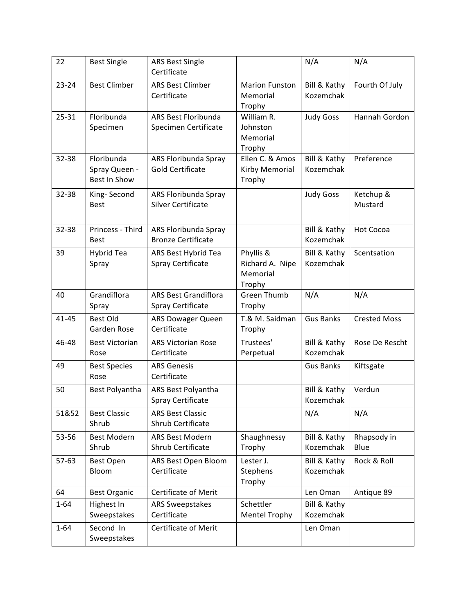| 22        | <b>Best Single</b>                          | <b>ARS Best Single</b><br>Certificate             |                                                    | N/A                       | N/A                  |
|-----------|---------------------------------------------|---------------------------------------------------|----------------------------------------------------|---------------------------|----------------------|
| $23 - 24$ | <b>Best Climber</b>                         | <b>ARS Best Climber</b><br>Certificate            | <b>Marion Funston</b><br>Memorial<br>Trophy        | Bill & Kathy<br>Kozemchak | Fourth Of July       |
| $25 - 31$ | Floribunda<br>Specimen                      | ARS Best Floribunda<br>Specimen Certificate       | William R.<br>Johnston<br>Memorial<br>Trophy       | <b>Judy Goss</b>          | Hannah Gordon        |
| 32-38     | Floribunda<br>Spray Queen -<br>Best In Show | ARS Floribunda Spray<br><b>Gold Certificate</b>   | Ellen C. & Amos<br>Kirby Memorial<br>Trophy        | Bill & Kathy<br>Kozemchak | Preference           |
| 32-38     | King-Second<br><b>Best</b>                  | ARS Floribunda Spray<br><b>Silver Certificate</b> |                                                    | <b>Judy Goss</b>          | Ketchup &<br>Mustard |
| 32-38     | Princess - Third<br><b>Best</b>             | ARS Floribunda Spray<br><b>Bronze Certificate</b> |                                                    | Bill & Kathy<br>Kozemchak | <b>Hot Cocoa</b>     |
| 39        | Hybrid Tea<br>Spray                         | ARS Best Hybrid Tea<br><b>Spray Certificate</b>   | Phyllis &<br>Richard A. Nipe<br>Memorial<br>Trophy | Bill & Kathy<br>Kozemchak | Scentsation          |
| 40        | Grandiflora<br>Spray                        | <b>ARS Best Grandiflora</b><br>Spray Certificate  | <b>Green Thumb</b><br>Trophy                       | N/A                       | N/A                  |
| $41 - 45$ | <b>Best Old</b><br>Garden Rose              | <b>ARS Dowager Queen</b><br>Certificate           | T.& M. Saidman<br>Trophy                           | <b>Gus Banks</b>          | <b>Crested Moss</b>  |
| 46-48     | <b>Best Victorian</b><br>Rose               | <b>ARS Victorian Rose</b><br>Certificate          | Trustees'<br>Perpetual                             | Bill & Kathy<br>Kozemchak | Rose De Rescht       |
| 49        | <b>Best Species</b><br>Rose                 | <b>ARS Genesis</b><br>Certificate                 |                                                    | <b>Gus Banks</b>          | Kiftsgate            |
| 50        | Best Polyantha                              | ARS Best Polyantha<br>Spray Certificate           |                                                    | Bill & Kathy<br>Kozemchak | Verdun               |
| 51&52     | <b>Best Classic</b><br>Shrub                | <b>ARS Best Classic</b><br>Shrub Certificate      |                                                    | N/A                       | N/A                  |
| 53-56     | <b>Best Modern</b><br>Shrub                 | <b>ARS Best Modern</b><br>Shrub Certificate       | Shaughnessy<br>Trophy                              | Bill & Kathy<br>Kozemchak | Rhapsody in<br>Blue  |
| $57-63$   | <b>Best Open</b><br>Bloom                   | ARS Best Open Bloom<br>Certificate                | Lester J.<br>Stephens<br>Trophy                    | Bill & Kathy<br>Kozemchak | Rock & Roll          |
| 64        | <b>Best Organic</b>                         | Certificate of Merit                              |                                                    | Len Oman                  | Antique 89           |
| $1 - 64$  | Highest In<br>Sweepstakes                   | <b>ARS Sweepstakes</b><br>Certificate             | Schettler<br><b>Mentel Trophy</b>                  | Bill & Kathy<br>Kozemchak |                      |
| $1 - 64$  | Second In<br>Sweepstakes                    | Certificate of Merit                              |                                                    | Len Oman                  |                      |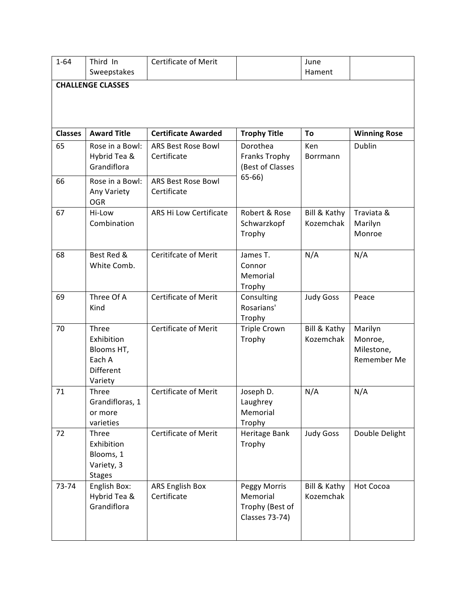| $1 - 64$                 | Third In<br>Sweepstakes                                                    | <b>Certificate of Merit</b>              |                                                                      | June<br>Hament            |                                                 |  |  |
|--------------------------|----------------------------------------------------------------------------|------------------------------------------|----------------------------------------------------------------------|---------------------------|-------------------------------------------------|--|--|
| <b>CHALLENGE CLASSES</b> |                                                                            |                                          |                                                                      |                           |                                                 |  |  |
| <b>Classes</b>           | <b>Award Title</b>                                                         | <b>Certificate Awarded</b>               | <b>Trophy Title</b>                                                  | To                        | <b>Winning Rose</b>                             |  |  |
| 65                       | Rose in a Bowl:<br>Hybrid Tea &<br>Grandiflora                             | <b>ARS Best Rose Bowl</b><br>Certificate | Dorothea<br>Franks Trophy<br>(Best of Classes                        | Ken<br>Borrmann           | Dublin                                          |  |  |
| 66                       | Rose in a Bowl:<br>Any Variety<br><b>OGR</b>                               | ARS Best Rose Bowl<br>Certificate        | $65-66$                                                              |                           |                                                 |  |  |
| 67                       | Hi-Low<br>Combination                                                      | <b>ARS Hi Low Certificate</b>            | Robert & Rose<br>Schwarzkopf<br>Trophy                               | Bill & Kathy<br>Kozemchak | Traviata &<br>Marilyn<br>Monroe                 |  |  |
| 68                       | Best Red &<br>White Comb.                                                  | <b>Ceritifcate of Merit</b>              | James T.<br>Connor<br>Memorial<br>Trophy                             | N/A                       | N/A                                             |  |  |
| 69                       | Three Of A<br>Kind                                                         | <b>Certificate of Merit</b>              | Consulting<br>Rosarians'<br>Trophy                                   | <b>Judy Goss</b>          | Peace                                           |  |  |
| 70                       | Three<br>Exhibition<br>Blooms HT,<br>Each A<br><b>Different</b><br>Variety | <b>Certificate of Merit</b>              | <b>Triple Crown</b><br>Trophy                                        | Bill & Kathy<br>Kozemchak | Marilyn<br>Monroe,<br>Milestone,<br>Remember Me |  |  |
| 71                       | Three<br>Grandifloras, 1<br>or more<br>varieties                           | Certificate of Merit                     | Joseph D.<br>Laughrey<br>Memorial<br>Trophy                          | N/A                       | N/A                                             |  |  |
| 72                       | Three<br>Exhibition<br>Blooms, 1<br>Variety, 3<br><b>Stages</b>            | <b>Certificate of Merit</b>              | Heritage Bank<br>Trophy                                              | <b>Judy Goss</b>          | Double Delight                                  |  |  |
| 73-74                    | English Box:<br>Hybrid Tea &<br>Grandiflora                                | <b>ARS English Box</b><br>Certificate    | Peggy Morris<br>Memorial<br>Trophy (Best of<br><b>Classes 73-74)</b> | Bill & Kathy<br>Kozemchak | Hot Cocoa                                       |  |  |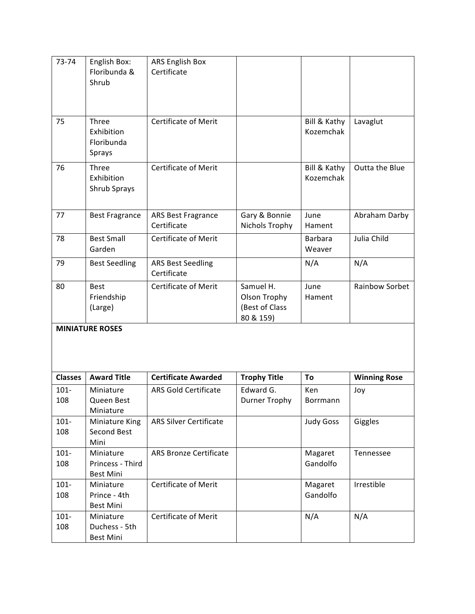| 73-74          | English Box:<br>Floribunda &<br>Shrub             | <b>ARS English Box</b><br>Certificate    |                                                          |                           |                     |
|----------------|---------------------------------------------------|------------------------------------------|----------------------------------------------------------|---------------------------|---------------------|
| 75             | Three<br>Exhibition<br>Floribunda<br>Sprays       | <b>Certificate of Merit</b>              |                                                          | Bill & Kathy<br>Kozemchak | Lavaglut            |
| 76             | Three<br>Exhibition<br>Shrub Sprays               | <b>Certificate of Merit</b>              |                                                          | Bill & Kathy<br>Kozemchak | Outta the Blue      |
| 77             | <b>Best Fragrance</b>                             | <b>ARS Best Fragrance</b><br>Certificate | Gary & Bonnie<br>Nichols Trophy                          | June<br>Hament            | Abraham Darby       |
| 78             | <b>Best Small</b><br>Garden                       | <b>Certificate of Merit</b>              |                                                          | Barbara<br>Weaver         | Julia Child         |
| 79             | <b>Best Seedling</b>                              | <b>ARS Best Seedling</b><br>Certificate  |                                                          | N/A                       | N/A                 |
| 80             | <b>Best</b><br>Friendship<br>(Large)              | <b>Certificate of Merit</b>              | Samuel H.<br>Olson Trophy<br>(Best of Class<br>80 & 159) | June<br>Hament            | Rainbow Sorbet      |
|                | <b>MINIATURE ROSES</b>                            |                                          |                                                          |                           |                     |
| <b>Classes</b> | <b>Award Title</b>                                | <b>Certificate Awarded</b>               | <b>Trophy Title</b>                                      | To                        | <b>Winning Rose</b> |
| $101 -$<br>108 | Miniature<br>Queen Best<br>Miniature              | <b>ARS Gold Certificate</b>              | Edward G.<br>Durner Trophy                               | Ken<br>Borrmann           | Joy                 |
| $101 -$<br>108 | Miniature King<br>Second Best<br>Mini             | <b>ARS Silver Certificate</b>            |                                                          | <b>Judy Goss</b>          | Giggles             |
| $101 -$<br>108 | Miniature<br>Princess - Third<br><b>Best Mini</b> | <b>ARS Bronze Certificate</b>            |                                                          | Magaret<br>Gandolfo       | Tennessee           |
| $101 -$<br>108 | Miniature<br>Prince - 4th<br><b>Best Mini</b>     | Certificate of Merit                     |                                                          | Magaret<br>Gandolfo       | Irrestible          |
| $101 -$<br>108 | Miniature<br>Duchess - 5th<br><b>Best Mini</b>    | <b>Certificate of Merit</b>              |                                                          | N/A                       | N/A                 |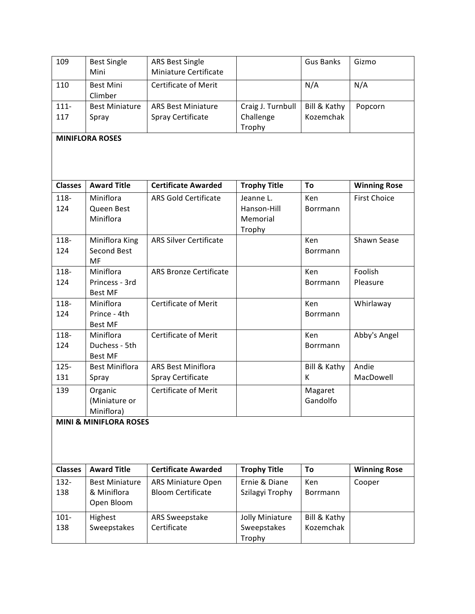| 109            | <b>Best Single</b><br>Mini        | <b>ARS Best Single</b><br>Miniature Certificate |                     | <b>Gus Banks</b> | Gizmo               |
|----------------|-----------------------------------|-------------------------------------------------|---------------------|------------------|---------------------|
| 110            | <b>Best Mini</b><br>Climber       | <b>Certificate of Merit</b>                     |                     | N/A              | N/A                 |
| $111 -$        | <b>Best Miniature</b>             | <b>ARS Best Miniature</b>                       | Craig J. Turnbull   | Bill & Kathy     | Popcorn             |
| 117            | Spray                             | Spray Certificate                               | Challenge<br>Trophy | Kozemchak        |                     |
|                | <b>MINIFLORA ROSES</b>            |                                                 |                     |                  |                     |
|                |                                   |                                                 |                     |                  |                     |
| <b>Classes</b> | <b>Award Title</b>                | <b>Certificate Awarded</b>                      | <b>Trophy Title</b> | To               | <b>Winning Rose</b> |
| 118-           | Miniflora                         | <b>ARS Gold Certificate</b>                     | Jeanne L.           | Ken              | <b>First Choice</b> |
| 124            | Queen Best                        |                                                 | Hanson-Hill         | Borrmann         |                     |
|                | Miniflora                         |                                                 | Memorial            |                  |                     |
|                |                                   |                                                 | Trophy              |                  |                     |
| 118-           | Miniflora King                    | <b>ARS Silver Certificate</b>                   |                     | Ken              | Shawn Sease         |
| 124            | <b>Second Best</b>                |                                                 |                     | Borrmann         |                     |
|                | MF                                |                                                 |                     |                  |                     |
| 118-           | Miniflora                         | <b>ARS Bronze Certificate</b>                   |                     | Ken              | Foolish             |
| 124            | Princess - 3rd                    |                                                 |                     | Borrmann         | Pleasure            |
|                | <b>Best MF</b>                    |                                                 |                     |                  |                     |
| 118-           | Miniflora                         | <b>Certificate of Merit</b>                     |                     | Ken              | Whirlaway           |
| 124            | Prince - 4th                      |                                                 |                     | Borrmann         |                     |
|                | <b>Best MF</b>                    |                                                 |                     |                  |                     |
| 118-           | Miniflora                         | <b>Certificate of Merit</b>                     |                     | Ken              | Abby's Angel        |
| 124            | Duchess - 5th                     |                                                 |                     | Borrmann         |                     |
|                | <b>Best MF</b>                    |                                                 |                     |                  |                     |
| $125 -$        | <b>Best Miniflora</b>             | <b>ARS Best Miniflora</b>                       |                     | Bill & Kathy     | Andie               |
| 131            | Spray                             | Spray Certificate                               |                     | к                | MacDowell           |
| 139            | Organic                           | <b>Certificate of Merit</b>                     |                     | Magaret          |                     |
|                | (Miniature or                     |                                                 |                     | Gandolfo         |                     |
|                | Miniflora)                        |                                                 |                     |                  |                     |
|                | <b>MINI &amp; MINIFLORA ROSES</b> |                                                 |                     |                  |                     |
|                |                                   |                                                 |                     |                  |                     |
| <b>Classes</b> | <b>Award Title</b>                | <b>Certificate Awarded</b>                      | <b>Trophy Title</b> | To               | <b>Winning Rose</b> |
| 132-           | <b>Best Miniature</b>             | <b>ARS Miniature Open</b>                       | Ernie & Diane       | Ken              | Cooper              |
| 138            | & Miniflora                       | <b>Bloom Certificate</b>                        | Szilagyi Trophy     | Borrmann         |                     |
|                | Open Bloom                        |                                                 |                     |                  |                     |
| $101 -$        | Highest                           | ARS Sweepstake                                  | Jolly Miniature     | Bill & Kathy     |                     |
| 138            | Sweepstakes                       | Certificate                                     | Sweepstakes         | Kozemchak        |                     |
|                |                                   |                                                 | Trophy              |                  |                     |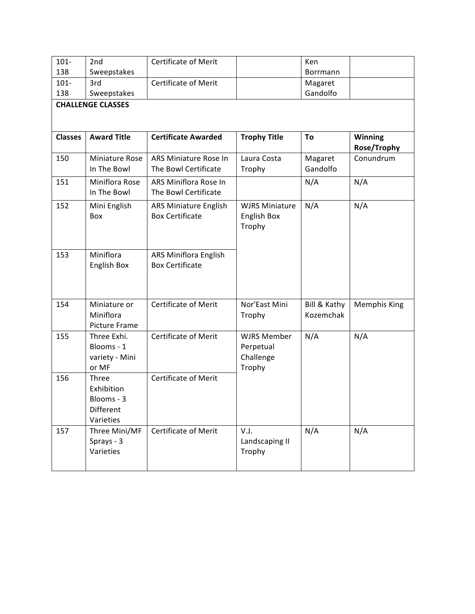| $101 -$<br>138 | 2 <sub>nd</sub>                                             | <b>Certificate of Merit</b>                            |                                                        | Ken                       |                        |  |  |  |  |
|----------------|-------------------------------------------------------------|--------------------------------------------------------|--------------------------------------------------------|---------------------------|------------------------|--|--|--|--|
| $101 -$        | Sweepstakes<br>3rd                                          | <b>Certificate of Merit</b>                            |                                                        | Borrmann<br>Magaret       |                        |  |  |  |  |
| 138            | Sweepstakes                                                 |                                                        |                                                        | Gandolfo                  |                        |  |  |  |  |
|                | <b>CHALLENGE CLASSES</b>                                    |                                                        |                                                        |                           |                        |  |  |  |  |
|                |                                                             |                                                        |                                                        |                           |                        |  |  |  |  |
| <b>Classes</b> | <b>Award Title</b>                                          | <b>Certificate Awarded</b>                             | <b>Trophy Title</b>                                    | To                        | Winning<br>Rose/Trophy |  |  |  |  |
| 150            | Miniature Rose<br>In The Bowl                               | ARS Miniature Rose In<br>The Bowl Certificate          | Laura Costa<br>Trophy                                  | Magaret<br>Gandolfo       | Conundrum              |  |  |  |  |
| 151            | Miniflora Rose<br>In The Bowl                               | ARS Miniflora Rose In<br>The Bowl Certificate          |                                                        | N/A                       | N/A                    |  |  |  |  |
| 152            | Mini English<br>Box                                         | ARS Miniature English<br><b>Box Certificate</b>        | <b>WJRS Miniature</b><br>English Box<br>Trophy         | N/A                       | N/A                    |  |  |  |  |
| 153            | Miniflora<br>English Box                                    | <b>ARS Miniflora English</b><br><b>Box Certificate</b> |                                                        |                           |                        |  |  |  |  |
| 154            | Miniature or<br>Miniflora<br>Picture Frame                  | <b>Certificate of Merit</b>                            | Nor'East Mini<br>Trophy                                | Bill & Kathy<br>Kozemchak | <b>Memphis King</b>    |  |  |  |  |
| 155            | Three Exhi.<br>Blooms - 1<br>variety - Mini<br>or MF        | Certificate of Merit                                   | <b>WJRS Member</b><br>Perpetual<br>Challenge<br>Trophy | N/A                       | N/A                    |  |  |  |  |
| 156            | Three<br>Exhibition<br>Blooms - 3<br>Different<br>Varieties | <b>Certificate of Merit</b>                            |                                                        |                           |                        |  |  |  |  |
| 157            | Three Mini/MF<br>Sprays - 3<br>Varieties                    | <b>Certificate of Merit</b>                            | V.J.<br>Landscaping II<br>Trophy                       | N/A                       | N/A                    |  |  |  |  |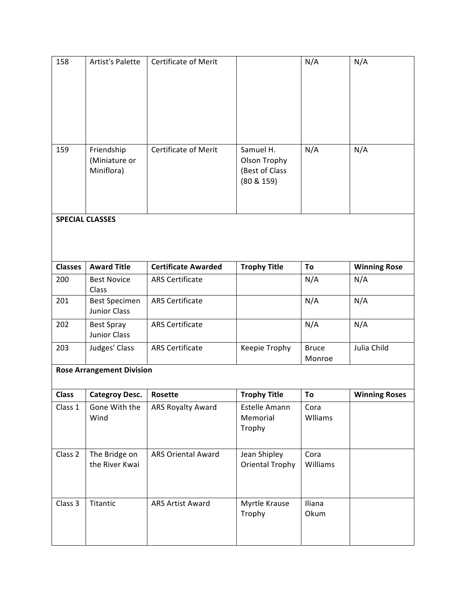| 158            | <b>Artist's Palette</b>                     | <b>Certificate of Merit</b> |                                                           | N/A                    | N/A                  |
|----------------|---------------------------------------------|-----------------------------|-----------------------------------------------------------|------------------------|----------------------|
| 159            | Friendship<br>(Miniature or<br>Miniflora)   | <b>Certificate of Merit</b> | Samuel H.<br>Olson Trophy<br>(Best of Class<br>(80 & 159) | N/A                    | N/A                  |
|                | <b>SPECIAL CLASSES</b>                      |                             |                                                           |                        |                      |
|                |                                             |                             |                                                           |                        |                      |
| <b>Classes</b> | <b>Award Title</b>                          | <b>Certificate Awarded</b>  | <b>Trophy Title</b>                                       | To                     | <b>Winning Rose</b>  |
| 200            | <b>Best Novice</b><br>Class                 | <b>ARS Certificate</b>      |                                                           | N/A                    | N/A                  |
| 201            | <b>Best Specimen</b><br><b>Junior Class</b> | <b>ARS Certificate</b>      |                                                           | N/A                    | N/A                  |
| 202            | <b>Best Spray</b><br><b>Junior Class</b>    | <b>ARS Certificate</b>      |                                                           | N/A                    | N/A                  |
| 203            | Judges' Class                               | <b>ARS Certificate</b>      | Keepie Trophy                                             | <b>Bruce</b><br>Monroe | Julia Child          |
|                | <b>Rose Arrangement Division</b>            |                             |                                                           |                        |                      |
| <b>Class</b>   | <b>Categroy Desc.</b>                       | Rosette                     | <b>Trophy Title</b>                                       | To                     | <b>Winning Roses</b> |
| Class 1        | Gone With the<br>Wind                       | ARS Royalty Award           | Estelle Amann<br>Memorial<br>Trophy                       | Cora<br>Wlliams        |                      |
| Class 2        | The Bridge on<br>the River Kwai             | <b>ARS Oriental Award</b>   | Jean Shipley<br><b>Oriental Trophy</b>                    | Cora<br>Williams       |                      |
| Class 3        | Titantic                                    | <b>ARS Artist Award</b>     | Myrtle Krause<br>Trophy                                   | Iliana<br>Okum         |                      |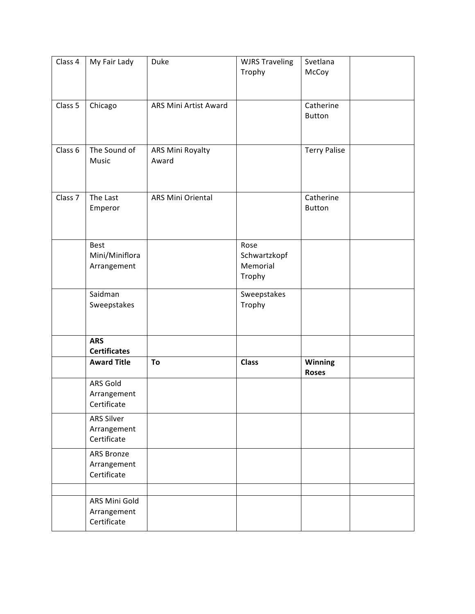| Class 4            | My Fair Lady                                    | Duke                      | <b>WJRS Traveling</b><br>Trophy            | Svetlana<br>McCoy          |
|--------------------|-------------------------------------------------|---------------------------|--------------------------------------------|----------------------------|
| Class 5            | Chicago                                         | ARS Mini Artist Award     |                                            | Catherine<br><b>Button</b> |
| Class <sub>6</sub> | The Sound of<br>Music                           | ARS Mini Royalty<br>Award |                                            | <b>Terry Palise</b>        |
| Class <sub>7</sub> | The Last<br>Emperor                             | ARS Mini Oriental         |                                            | Catherine<br><b>Button</b> |
|                    | <b>Best</b><br>Mini/Miniflora<br>Arrangement    |                           | Rose<br>Schwartzkopf<br>Memorial<br>Trophy |                            |
|                    | Saidman<br>Sweepstakes                          |                           | Sweepstakes<br>Trophy                      |                            |
|                    | <b>ARS</b><br><b>Certificates</b>               |                           |                                            |                            |
|                    | <b>Award Title</b>                              | To                        | <b>Class</b>                               | Winning<br><b>Roses</b>    |
|                    | ARS Gold<br>Arrangement<br>Certificate          |                           |                                            |                            |
|                    | <b>ARS Silver</b><br>Arrangement<br>Certificate |                           |                                            |                            |
|                    | ARS Bronze<br>Arrangement<br>Certificate        |                           |                                            |                            |
|                    | ARS Mini Gold<br>Arrangement<br>Certificate     |                           |                                            |                            |